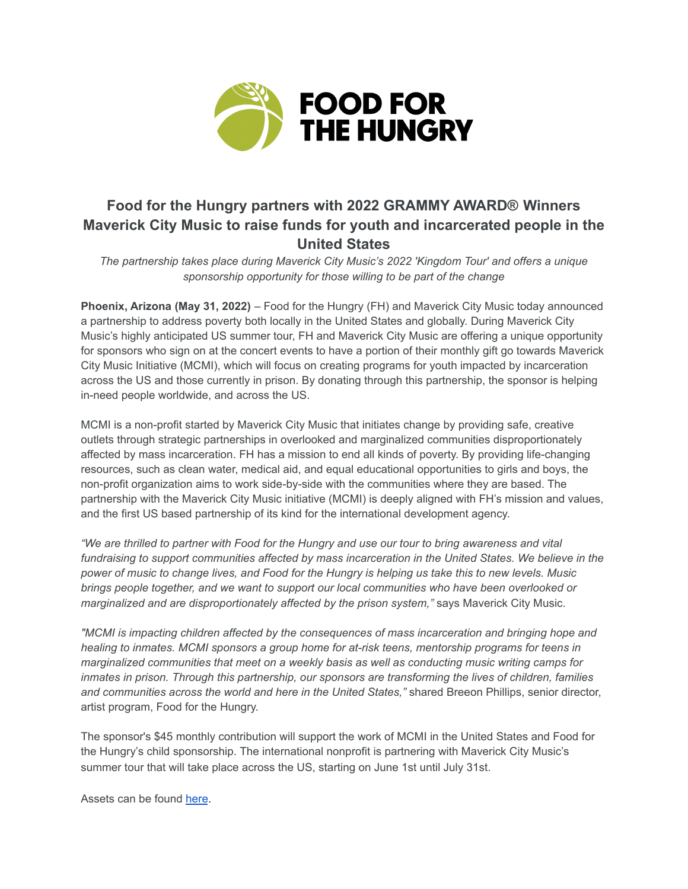

# **Food for the Hungry partners with 2022 GRAMMY AWARD® Winners Maverick City Music to raise funds for youth and incarcerated people in the United States**

*The partnership takes place during Maverick City Music's 2022 'Kingdom Tour' and offers a unique sponsorship opportunity for those willing to be part of the change*

**Phoenix, Arizona (May 31, 2022)** – Food for the Hungry (FH) and Maverick City Music today announced a partnership to address poverty both locally in the United States and globally. During Maverick City Music's highly anticipated US summer tour, FH and Maverick City Music are offering a unique opportunity for sponsors who sign on at the concert events to have a portion of their monthly gift go towards Maverick City Music Initiative (MCMI), which will focus on creating programs for youth impacted by incarceration across the US and those currently in prison. By donating through this partnership, the sponsor is helping in-need people worldwide, and across the US.

MCMI is a non-profit started by Maverick City Music that initiates change by providing safe, creative outlets through strategic partnerships in overlooked and marginalized communities disproportionately affected by mass incarceration. FH has a mission to end all kinds of poverty. By providing life-changing resources, such as clean water, medical aid, and equal educational opportunities to girls and boys, the non-profit organization aims to work side-by-side with the communities where they are based. The partnership with the Maverick City Music initiative (MCMI) is deeply aligned with FH's mission and values, and the first US based partnership of its kind for the international development agency.

"We are thrilled to partner with Food for the Hungry and use our tour to bring awareness and vital *fundraising to support communities affected by mass incarceration in the United States. We believe in the* power of music to change lives, and Food for the Hungry is helping us take this to new levels. Music *brings people together, and we want to support our local communities who have been overlooked or marginalized and are disproportionately affected by the prison system,"* says Maverick City Music.

*"MCMI is impacting children affected by the consequences of mass incarceration and bringing hope and healing to inmates. MCMI sponsors a group home for at-risk teens, mentorship programs for teens in marginalized communities that meet on a weekly basis as well as conducting music writing camps for inmates in prison. Through this partnership, our sponsors are transforming the lives of children, families and communities across the world and here in the United States,"* shared Breeon Phillips, senior director, artist program, Food for the Hungry.

The sponsor's \$45 monthly contribution will support the work of MCMI in the United States and Food for the Hungry's child sponsorship. The international nonprofit is partnering with Maverick City Music's summer tour that will take place across the US, starting on June 1st until July 31st.

Assets can be found [here](https://www.dropbox.com/sh/aeut90yjnz5q7fn/AAAyb3ybhluGAlYtzgq1qT5Sa?dl=0).